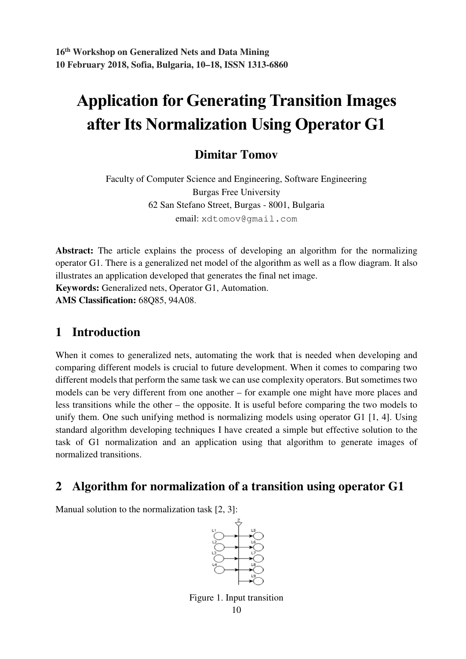# Application for Generating Transition Images after Its Normalization Using Operator G1

## **Dimitar Tomov**

Faculty of Computer Science and Engineering, Software Engineering Burgas Free University 62 San Stefano Street, Burgas - 8001, Bulgaria email: xdtomov@gmail.com

**Abstract:** The article explains the process of developing an algorithm for the normalizing operator G1. There is a generalized net model of the algorithm as well as a flow diagram. It also illustrates an application developed that generates the final net image.

**Keywords:** Generalized nets, Operator G1, Automation.

**AMS Classification:** 68Q85, 94A08.

## **1 Introduction**

When it comes to generalized nets, automating the work that is needed when developing and comparing different models is crucial to future development. When it comes to comparing two different models that perform the same task we can use complexity operators. But sometimes two models can be very different from one another – for example one might have more places and less transitions while the other – the opposite. It is useful before comparing the two models to unify them. One such unifying method is normalizing models using operator G1 [1, 4]. Using standard algorithm developing techniques I have created a simple but effective solution to the task of G1 normalization and an application using that algorithm to generate images of normalized transitions.

## **2 Algorithm for normalization of a transition using operator G1**

Manual solution to the normalization task [2, 3]:



10 Figure 1. Input transition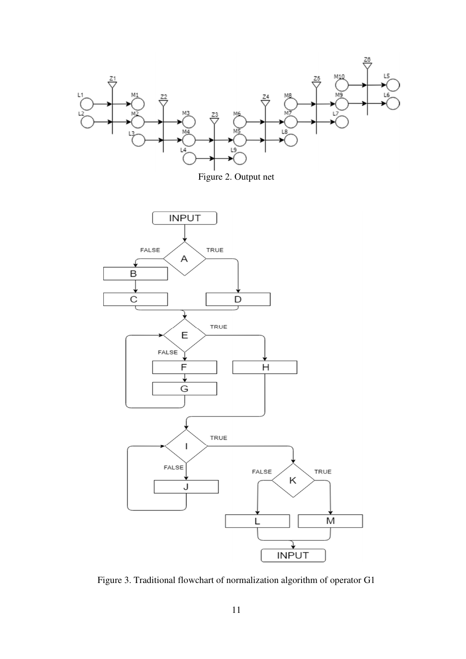





Figure 3. Traditional flowchart of normalization algorithm of operator G1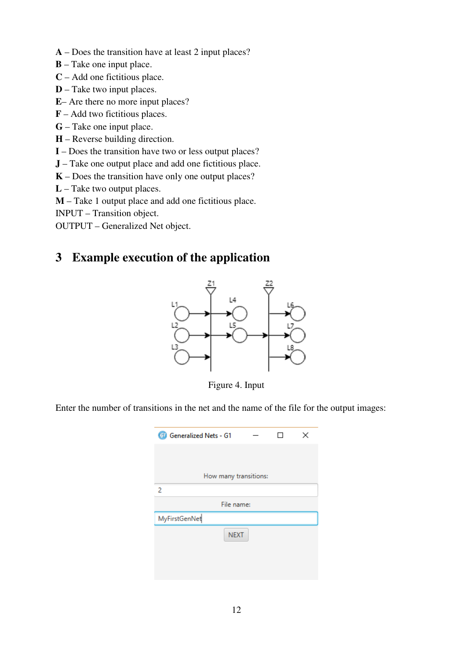- **A** Does the transition have at least 2 input places?
- **B** Take one input place.
- **C** Add one fictitious place.
- **D** Take two input places.
- **E** Are there no more input places?
- **F** Add two fictitious places.
- **G** Take one input place.
- **H** Reverse building direction.
- **I**  Does the transition have two or less output places?
- **J** Take one output place and add one fictitious place.
- **K** Does the transition have only one output places?
- **L** Take two output places.
- **M** Take 1 output place and add one fictitious place.
- INPUT Transition object.

OUTPUT – Generalized Net object.

### **3 Example execution of the application**



Figure 4. Input

Enter the number of transitions in the net and the name of the file for the output images:

| Œ<br>Generalized Nets - G1 |  |  | × |  |  |  |
|----------------------------|--|--|---|--|--|--|
|                            |  |  |   |  |  |  |
|                            |  |  |   |  |  |  |
| How many transitions:      |  |  |   |  |  |  |
| 2                          |  |  |   |  |  |  |
| File name:                 |  |  |   |  |  |  |
| MyFirstGenNet              |  |  |   |  |  |  |
| <b>NEXT</b>                |  |  |   |  |  |  |
|                            |  |  |   |  |  |  |
|                            |  |  |   |  |  |  |
|                            |  |  |   |  |  |  |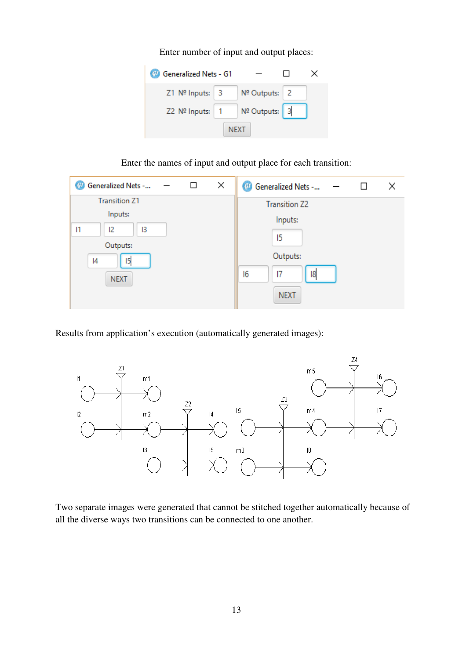Enter number of input and output places:

| <b>Of Generalized Nets - G1</b> |                     |  |  |  |
|---------------------------------|---------------------|--|--|--|
| Z1 Nº Inputs: 3                 | Nº Outputs:   2     |  |  |  |
| Z2 Nº Inputs: 1                 | $N2$ Outputs: $ $ 3 |  |  |  |
| <b>NEXT</b>                     |                     |  |  |  |

Enter the names of input and output place for each transition:

| Generalized Nets -<br>Œ | ⊔              | × | (# Generalized Nets -<br>Χ |
|-------------------------|----------------|---|----------------------------|
| <b>Transition Z1</b>    |                |   | <b>Transition Z2</b>       |
| Inputs:                 |                |   | Inputs:                    |
| 1<br>12<br>13           |                |   |                            |
|                         |                |   | 15                         |
| Outputs:                |                |   |                            |
| 15<br>14                |                |   | Outputs:                   |
| <b>NEXT</b>             | 18<br>16<br> 7 |   |                            |
|                         |                |   | <b>NEXT</b>                |

Results from application's execution (automatically generated images):



Two separate images were generated that cannot be stitched together automatically because of all the diverse ways two transitions can be connected to one another.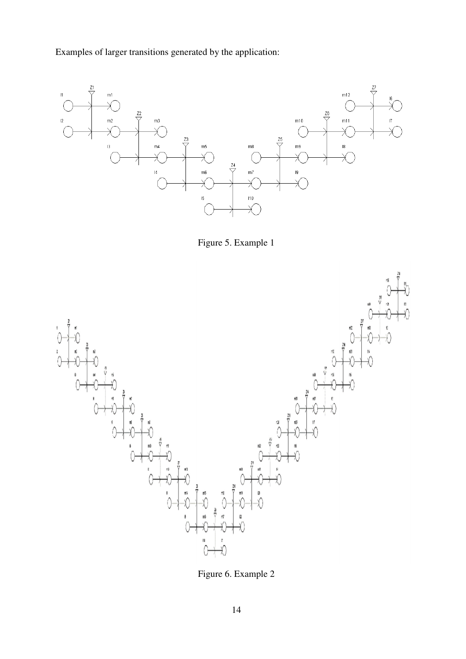Examples of larger transitions generated by the application:



Figure 5. Example 1



Figure 6. Example 2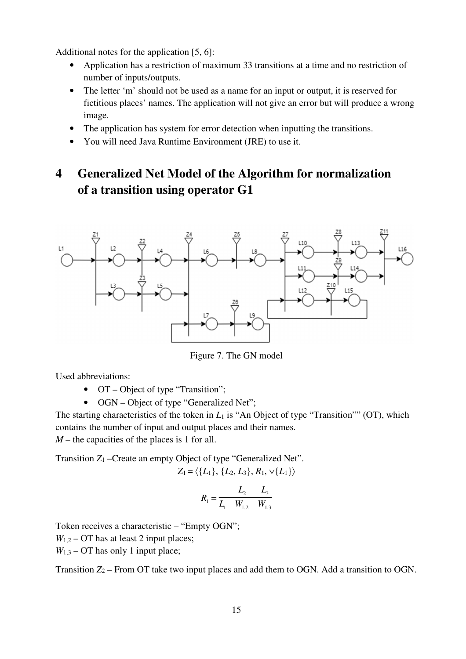Additional notes for the application [5, 6]:

- Application has a restriction of maximum 33 transitions at a time and no restriction of number of inputs/outputs.
- The letter 'm' should not be used as a name for an input or output, it is reserved for fictitious places' names. The application will not give an error but will produce a wrong image.
- The application has system for error detection when inputting the transitions.
- You will need Java Runtime Environment (JRE) to use it.

# **4 Generalized Net Model of the Algorithm for normalization of a transition using operator G1**



Figure 7. The GN model

Used abbreviations:

- OT Object of type "Transition";
- OGN Object of type "Generalized Net";

The starting characteristics of the token in  $L_1$  is "An Object of type "Transition"" (OT), which contains the number of input and output places and their names.

*M* – the capacities of the places is 1 for all.

Transition *Z*1 –Create an empty Object of type "Generalized Net".

$$
Z_1 = \langle \{L_1\}, \{L_2, L_3\}, R_1, \vee \{L_1\} \rangle
$$

$$
R_1 = \frac{L_2}{L_1} \frac{L_3}{W_{1,2} \frac{W_{1,3}}{W_{1,3}}}
$$

Token receives a characteristic – "Empty OGN";

 $W_{1,2}$  – OT has at least 2 input places;

 $W_{1,3}$  – OT has only 1 input place;

Transition  $Z_2$  – From OT take two input places and add them to OGN. Add a transition to OGN.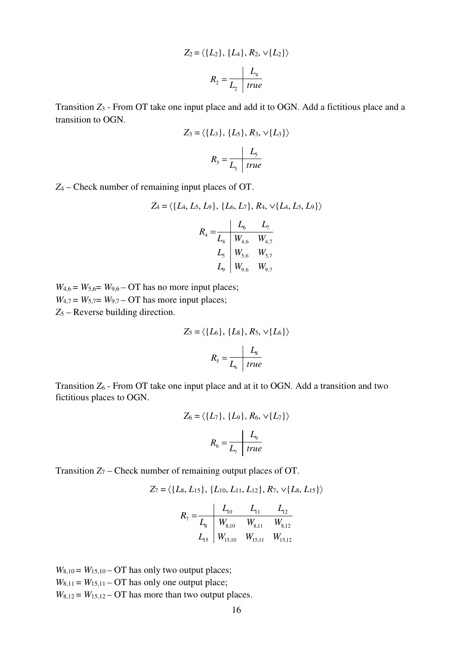$$
Z_2 = \langle \{L_2\}, \{L_4\}, R_2, \sqrt{L_2}\} \rangle
$$

$$
R_2 = \frac{L_4}{L_2 \mid true}
$$

Transition *Z*3 - From OT take one input place and add it to OGN. Add a fictitious place and a transition to OGN.

$$
Z_3 = \langle \{L_3\}, \{L_5\}, R_3, \vee \{L_3\} \rangle
$$

$$
R_3 = \frac{L_5}{L_3 \mid true}
$$

*Z*4 – Check number of remaining input places of OT.

$$
Z_4 = \langle \{L_4, L_5, L_9\}, \{L_6, L_7\}, R_4, \sqrt{\{L_4, L_5, L_9\}} \rangle
$$

$$
R_4 = \frac{L_6}{L_4} \frac{L_7}{W_{4,6} W_{4,7}}
$$

$$
L_5 = \frac{W_{5,6} W_{5,7}}{W_{9,6} W_{9,7}}
$$

 $W_{4,6} = W_{5,6} = W_{9,6} - \text{OT}$  has no more input places;  $W_{4,7} = W_{5,7} = W_{9,7} - \text{OT}$  has more input places; *Z*5 – Reverse building direction.

$$
Z_5 = \langle \{L_6\}, \{L_8\}, R_5, \sqrt{L_6}\}\rangle
$$

$$
R_5 = \frac{L_8}{L_6 \text{ true}}
$$

Transition *Z*6 - From OT take one input place and at it to OGN. Add a transition and two fictitious places to OGN.

$$
Z_6 = \langle \{L_7\}, \{L_9\}, R_6, \vee \{L_7\} \rangle
$$

$$
R_6 = \frac{L_9}{L_7 \text{ true}}
$$

Transition  $Z_7$  – Check number of remaining output places of OT.

$$
Z_7 = \langle \{L_8, L_{15}\}, \{L_{10}, L_{11}, L_{12}\}, R_7, \sqrt{L_8}, L_{15}\} \rangle
$$

$$
R_7 = \frac{L_{10}}{L_8} = \frac{L_{11}}{W_{8,10}} = \frac{L_{12}}{W_{8,11}} = \frac{L_{12}}{W_{8,12}}
$$

$$
L_{15} = \frac{L_{15}}{W_{15,10}} = \frac{L_{15}}{W_{15,11}} = \frac{L_{15}}{W_{15,12}}
$$

 $W_{8,10} = W_{15,10} - OT$  has only two output places;  $W_{8,11} = W_{15,11} - OT$  has only one output place;  $W_{8,12} = W_{15,12} - OT$  has more than two output places.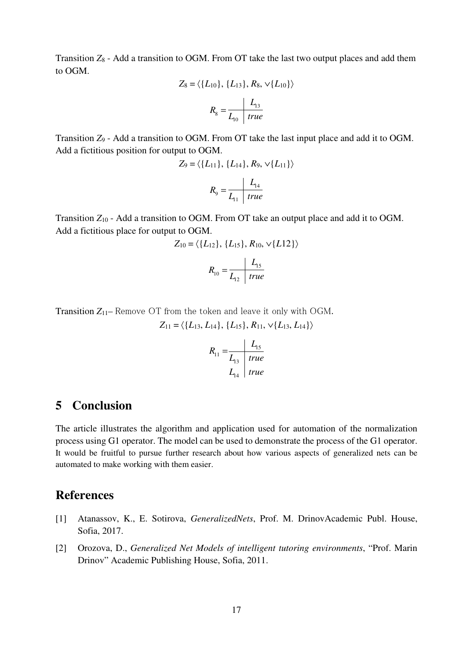Transition *Z*8 - Add a transition to OGM. From OT take the last two output places and add them to OGM.

$$
Z_8 = \langle \{L_{10}\}, \{L_{13}\}, R_8, \sqrt{\{L_{10}\}} \rangle
$$

$$
R_8 = \frac{L_{13}}{L_{10} \text{ true}}
$$

Transition *Z*9 - Add a transition to OGM. From OT take the last input place and add it to OGM. Add a fictitious position for output to OGM.

$$
Z_9 = \langle \{L_{11}\}, \{L_{14}\}, R_9, \sqrt{L_{11}}\} \rangle
$$

$$
R_9 = \frac{L_{14}}{L_{11} \mid true}
$$

Transition *Z*10 - Add a transition to OGM. From OT take an output place and add it to OGM. Add a fictitious place for output to OGM.

$$
Z_{10} = \langle \{L_{12}\}, \{L_{15}\}, R_{10}, \sqrt{\{L12\}} \rangle
$$

$$
R_{10} = \frac{L_{15}}{L_{12} \mid true}
$$

Transition *Z*11– Remove OT from the token and leave it only with OGM.

 $Z_{11} = \langle \{L_{13}, L_{14}\}, \{L_{15}\}, R_{11}, \sqrt{\{L_{13}, L_{14}\}} \rangle$ 

$$
R_{11} = \frac{L_{15}}{L_{13}} \quad \frac{L_{15}}{true}
$$
  

$$
L_{14} \quad true
$$

#### **5 Conclusion**

The article illustrates the algorithm and application used for automation of the normalization process using G1 operator. The model can be used to demonstrate the process of the G1 operator. It would be fruitful to pursue further research about how various aspects of generalized nets can be automated to make working with them easier.

#### **References**

- [1] Atanassov, K., E. Sotirova, *GeneralizedNets*, Prof. M. DrinovAcademic Publ. House, Sofia, 2017.
- [2] Orozova, D., *Generalized Net Models of intelligent tutoring environments*, "Prof. Marin Drinov" Academic Publishing House, Sofia, 2011.